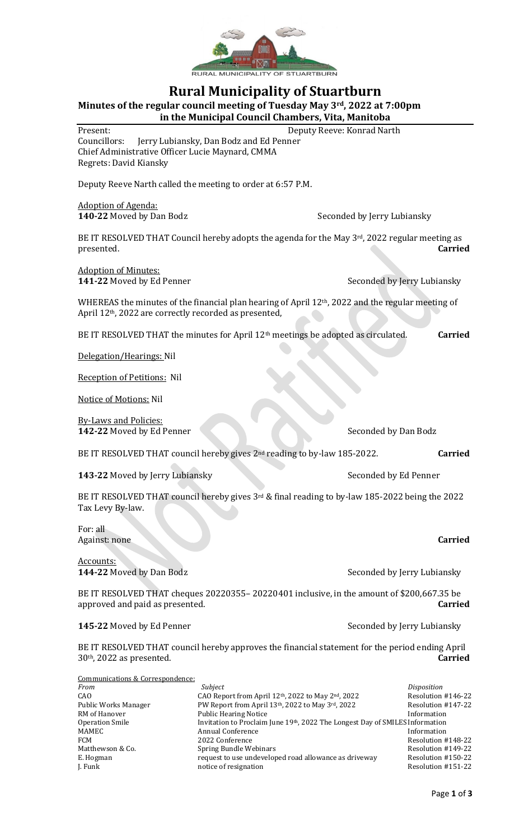

## **Rural Municipality of Stuartburn**

**Minutes of the regular council meeting of Tuesday May 3rd, 2022 at 7:00pm**

**in the Municipal Council Chambers, Vita, Manitoba** Present: Deputy Reeve: Konrad Narth

Councillors: Jerry Lubiansky, Dan Bodz and Ed Penner Chief Administrative Officer Lucie Maynard, CMMA Regrets: David Kiansky

Deputy Reeve Narth called the meeting to order at 6:57 P.M.

Adoption of Agenda:

**140-22** Moved by Dan Bodz Seconded by Jerry Lubiansky

BE IT RESOLVED THAT Council hereby adopts the agenda for the May 3rd, 2022 regular meeting as presented. **Carried**

Adoption of Minutes:

**141-22** Moved by Ed Penner Seconded by Jerry Lubiansky

WHEREAS the minutes of the financial plan hearing of April 12<sup>th</sup>, 2022 and the regular meeting of April 12th, 2022 are correctly recorded as presented,

BE IT RESOLVED THAT the minutes for April 12th meetings be adopted as circulated. **Carried**

Delegation/Hearings: Nil

Reception of Petitions: Nil

Notice of Motions: Nil

By-Laws and Policies: **142-22** Moved by Ed Penner Seconded by Dan Bodz

BE IT RESOLVED THAT council hereby gives 2nd reading to by-law 185-2022. **Carried**

**143-22** Moved by Jerry Lubiansky Seconded by Ed Penner

BE IT RESOLVED THAT council hereby gives 3rd & final reading to by-law 185-2022 being the 2022 Tax Levy By-law.

For: all Against: none **Carried**

Accounts:

**144-22** Moved by Dan Bodz Seconded by Jerry Lubiansky

BE IT RESOLVED THAT cheques 20220355– 20220401 inclusive, in the amount of \$200,667.35 be approved and paid as presented. **Carried**

**145-22** Moved by Ed Penner Seconded by Jerry Lubiansky

BE IT RESOLVED THAT council hereby approves the financial statement for the period ending April 30th, 2022 as presented. **Carried**

| Communications & Correspondence: |                                                                              |                    |
|----------------------------------|------------------------------------------------------------------------------|--------------------|
| From                             | Subject                                                                      | Disposition        |
| CAO                              | CAO Report from April 12th, 2022 to May 2nd, 2022                            | Resolution #146-22 |
| Public Works Manager             | PW Report from April 13th, 2022 to May 3rd, 2022                             | Resolution #147-22 |
| RM of Hanover                    | <b>Public Hearing Notice</b>                                                 | Information        |
| Operation Smile                  | Invitation to Proclaim June 19th, 2022 The Longest Day of SMILES Information |                    |
| MAMEC                            | <b>Annual Conference</b>                                                     | Information        |
| <b>FCM</b>                       | 2022 Conference                                                              | Resolution #148-22 |
| Matthewson & Co.                 | Spring Bundle Webinars                                                       | Resolution #149-22 |
| E. Hogman                        | request to use undeveloped road allowance as driveway                        | Resolution #150-22 |
| J. Funk                          | notice of resignation                                                        | Resolution #151-22 |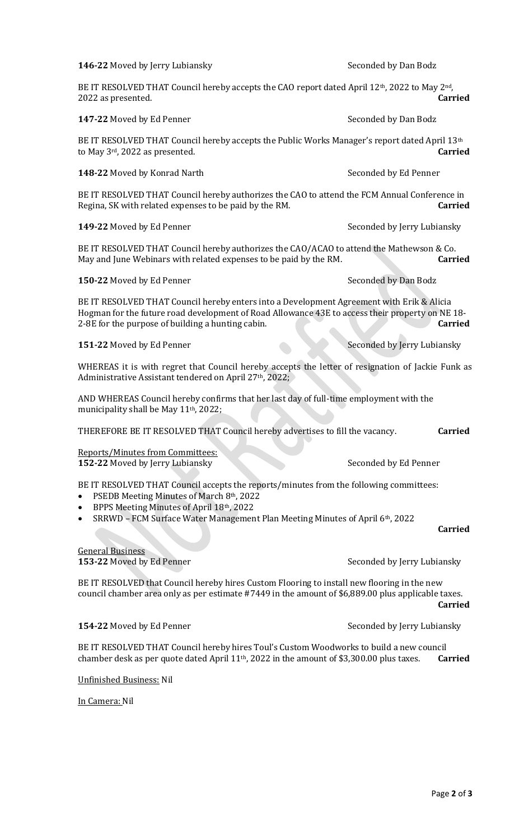| 147-22 Moved by Ed Penner                                                                                                                                                                                                                                           | Seconded by Dan Bodz        |  |  |
|---------------------------------------------------------------------------------------------------------------------------------------------------------------------------------------------------------------------------------------------------------------------|-----------------------------|--|--|
| BE IT RESOLVED THAT Council hereby accepts the Public Works Manager's report dated April 13 <sup>th</sup><br>to May 3rd, 2022 as presented.                                                                                                                         | <b>Carried</b>              |  |  |
| 148-22 Moved by Konrad Narth                                                                                                                                                                                                                                        | Seconded by Ed Penner       |  |  |
| BE IT RESOLVED THAT Council hereby authorizes the CAO to attend the FCM Annual Conference in<br>Regina, SK with related expenses to be paid by the RM.                                                                                                              | <b>Carried</b>              |  |  |
| 149-22 Moved by Ed Penner                                                                                                                                                                                                                                           | Seconded by Jerry Lubiansky |  |  |
| BE IT RESOLVED THAT Council hereby authorizes the CAO/ACAO to attend the Mathewson & Co.<br>May and June Webinars with related expenses to be paid by the RM.                                                                                                       | <b>Carried</b>              |  |  |
| 150-22 Moved by Ed Penner                                                                                                                                                                                                                                           | Seconded by Dan Bodz        |  |  |
| BE IT RESOLVED THAT Council hereby enters into a Development Agreement with Erik & Alicia<br>Hogman for the future road development of Road Allowance 43E to access their property on NE 18-<br>2-8E for the purpose of building a hunting cabin.<br><b>Carried</b> |                             |  |  |
| 151-22 Moved by Ed Penner                                                                                                                                                                                                                                           | Seconded by Jerry Lubiansky |  |  |
| WHEREAS it is with regret that Council hereby accepts the letter of resignation of Jackie Funk as<br>Administrative Assistant tendered on April 27th, 2022;                                                                                                         |                             |  |  |
| AND WHEREAS Council hereby confirms that her last day of full-time employment with the<br>municipality shall be May 11 <sup>th</sup> , 2022;                                                                                                                        |                             |  |  |
| THEREFORE BE IT RESOLVED THAT Council hereby advertises to fill the vacancy.<br><b>Carried</b>                                                                                                                                                                      |                             |  |  |
| Reports/Minutes from Committees:<br>152-22 Moved by Jerry Lubiansky                                                                                                                                                                                                 | Seconded by Ed Penner       |  |  |
| BE IT RESOLVED THAT Council accepts the reports/minutes from the following committees:<br>PSEDB Meeting Minutes of March 8th, 2022<br>$\bullet$<br>BPPS Meeting Minutes of April 18th, 2022                                                                         |                             |  |  |
| SRRWD - FCM Surface Water Management Plan Meeting Minutes of April 6th, 2022                                                                                                                                                                                        | <b>Carried</b>              |  |  |
| <b>General Business</b><br>153-22 Moved by Ed Penner                                                                                                                                                                                                                | Seconded by Jerry Lubiansky |  |  |
| BE IT RESOLVED that Council hereby hires Custom Flooring to install new flooring in the new<br>council chamber area only as per estimate #7449 in the amount of \$6,889.00 plus applicable taxes.<br><b>Carried</b>                                                 |                             |  |  |

BE IT RESOLVED THAT Council hereby hires Toul's Custom Woodworks to build a new council chamber desk as per quote dated April 11th, 2022 in the amount of \$3,300.00 plus taxes. **Carried**

Unfinished Business: Nil

In Camera: Nil

**146-22** Moved by Jerry Lubiansky Seconded by Dan Bodz

BE IT RESOLVED THAT Council hereby accepts the CAO report dated April 12<sup>th</sup>, 2022 to May 2<sup>nd</sup>,<br>2022 as presented. **Carried** 2022 as presented.

**154-22** Moved by Ed Penner Seconded by Jerry Lubiansky